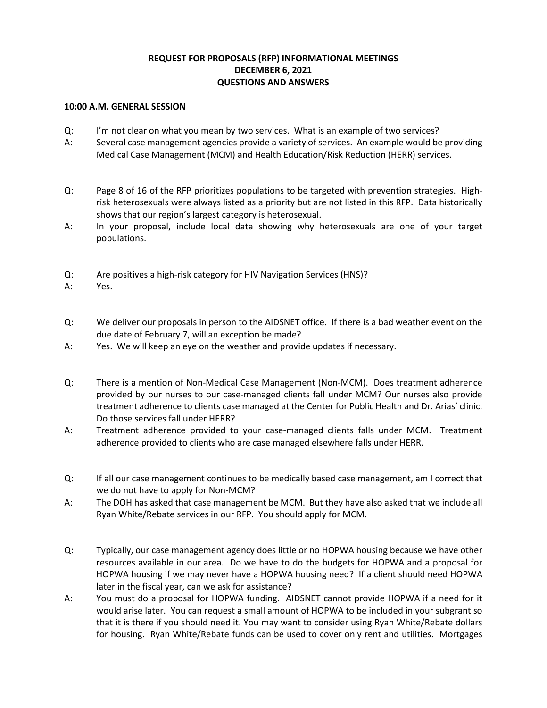## **REQUEST FOR PROPOSALS (RFP) INFORMATIONAL MEETINGS DECEMBER 6, 2021 QUESTIONS AND ANSWERS**

## **10:00 A.M. GENERAL SESSION**

- Q: I'm not clear on what you mean by two services. What is an example of two services?
- A: Several case management agencies provide a variety of services. An example would be providing Medical Case Management (MCM) and Health Education/Risk Reduction (HERR) services.
- Q: Page 8 of 16 of the RFP prioritizes populations to be targeted with prevention strategies. Highrisk heterosexuals were always listed as a priority but are not listed in this RFP. Data historically shows that our region's largest category is heterosexual.
- A: In your proposal, include local data showing why heterosexuals are one of your target populations.
- Q: Are positives a high-risk category for HIV Navigation Services (HNS)?
- A: Yes.
- Q: We deliver our proposals in person to the AIDSNET office. If there is a bad weather event on the due date of February 7, will an exception be made?
- A: Yes. We will keep an eye on the weather and provide updates if necessary.
- Q: There is a mention of Non-Medical Case Management (Non-MCM). Does treatment adherence provided by our nurses to our case-managed clients fall under MCM? Our nurses also provide treatment adherence to clients case managed at the Center for Public Health and Dr. Arias' clinic. Do those services fall under HERR?
- A: Treatment adherence provided to your case-managed clients falls under MCM. Treatment adherence provided to clients who are case managed elsewhere falls under HERR.
- Q: If all our case management continues to be medically based case management, am I correct that we do not have to apply for Non-MCM?
- A: The DOH has asked that case management be MCM. But they have also asked that we include all Ryan White/Rebate services in our RFP. You should apply for MCM.
- Q: Typically, our case management agency does little or no HOPWA housing because we have other resources available in our area. Do we have to do the budgets for HOPWA and a proposal for HOPWA housing if we may never have a HOPWA housing need? If a client should need HOPWA later in the fiscal year, can we ask for assistance?
- A: You must do a proposal for HOPWA funding. AIDSNET cannot provide HOPWA if a need for it would arise later. You can request a small amount of HOPWA to be included in your subgrant so that it is there if you should need it. You may want to consider using Ryan White/Rebate dollars for housing. Ryan White/Rebate funds can be used to cover only rent and utilities. Mortgages